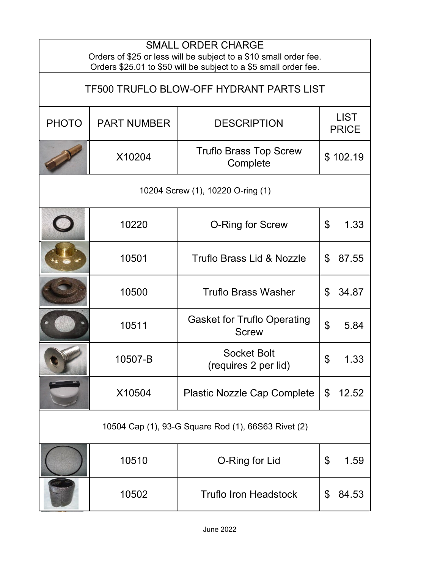| <b>SMALL ORDER CHARGE</b><br>Orders of \$25 or less will be subject to a \$10 small order fee.<br>Orders \$25.01 to \$50 will be subject to a \$5 small order fee. |                    |                                                    |                             |           |  |  |
|--------------------------------------------------------------------------------------------------------------------------------------------------------------------|--------------------|----------------------------------------------------|-----------------------------|-----------|--|--|
| <b>TF500 TRUFLO BLOW-OFF HYDRANT PARTS LIST</b>                                                                                                                    |                    |                                                    |                             |           |  |  |
| <b>PHOTO</b>                                                                                                                                                       | <b>PART NUMBER</b> | <b>DESCRIPTION</b>                                 | <b>LIST</b><br><b>PRICE</b> |           |  |  |
|                                                                                                                                                                    | X10204             | <b>Truflo Brass Top Screw</b><br>Complete          | \$102.19                    |           |  |  |
| 10204 Screw (1), 10220 O-ring (1)                                                                                                                                  |                    |                                                    |                             |           |  |  |
|                                                                                                                                                                    | 10220              | O-Ring for Screw                                   | \$                          | 1.33      |  |  |
|                                                                                                                                                                    | 10501              | <b>Truflo Brass Lid &amp; Nozzle</b>               | \$                          | 87.55     |  |  |
|                                                                                                                                                                    | 10500              | <b>Truflo Brass Washer</b>                         | \$                          | 34.87     |  |  |
|                                                                                                                                                                    | 10511              | <b>Gasket for Truflo Operating</b><br><b>Screw</b> | \$                          | 5.84      |  |  |
|                                                                                                                                                                    | 10507-B            | <b>Socket Bolt</b><br>(requires 2 per lid)         |                             | <b>U.</b> |  |  |
|                                                                                                                                                                    | X10504             | <b>Plastic Nozzle Cap Complete</b>                 | $\mathfrak{S}$              | 12.52     |  |  |
| 10504 Cap (1), 93-G Square Rod (1), 66S63 Rivet (2)                                                                                                                |                    |                                                    |                             |           |  |  |
|                                                                                                                                                                    | 10510              | O-Ring for Lid                                     | \$                          | 1.59      |  |  |
|                                                                                                                                                                    | 10502              | <b>Truflo Iron Headstock</b>                       | \$                          | 84.53     |  |  |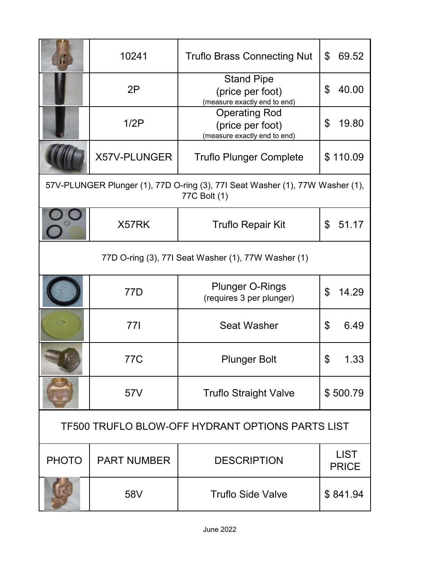| h.                                                                                            | 10241               | <b>Truflo Brass Connecting Nut</b>                                       | 69.52<br>\$                 |  |  |  |
|-----------------------------------------------------------------------------------------------|---------------------|--------------------------------------------------------------------------|-----------------------------|--|--|--|
|                                                                                               | 2P                  | <b>Stand Pipe</b><br>(price per foot)<br>(measure exactly end to end)    | 40.00<br>\$                 |  |  |  |
|                                                                                               | 1/2P                | <b>Operating Rod</b><br>(price per foot)<br>(measure exactly end to end) | \$<br>19.80                 |  |  |  |
|                                                                                               | <b>X57V-PLUNGER</b> | <b>Truflo Plunger Complete</b>                                           | \$110.09                    |  |  |  |
| 57V-PLUNGER Plunger (1), 77D O-ring (3), 77I Seat Washer (1), 77W Washer (1),<br>77C Bolt (1) |                     |                                                                          |                             |  |  |  |
|                                                                                               | X57RK               | <b>Truflo Repair Kit</b>                                                 | 51.17<br>\$                 |  |  |  |
| 77D O-ring (3), 77I Seat Washer (1), 77W Washer (1)                                           |                     |                                                                          |                             |  |  |  |
|                                                                                               | 77D                 | <b>Plunger O-Rings</b><br>(requires 3 per plunger)                       | \$<br>14.29                 |  |  |  |
|                                                                                               | 77I                 | <b>Seat Washer</b>                                                       | 6.49<br>\$                  |  |  |  |
|                                                                                               | 77C                 | <b>Plunger Bolt</b>                                                      | ¢                           |  |  |  |
|                                                                                               | 57V                 | <b>Truflo Straight Valve</b>                                             | \$500.79                    |  |  |  |
| <b>TF500 TRUFLO BLOW-OFF HYDRANT OPTIONS PARTS LIST</b>                                       |                     |                                                                          |                             |  |  |  |
| <b>PHOTO</b>                                                                                  | <b>PART NUMBER</b>  | <b>DESCRIPTION</b>                                                       | <b>LIST</b><br><b>PRICE</b> |  |  |  |
|                                                                                               | 58V                 | <b>Truflo Side Valve</b>                                                 | \$841.94                    |  |  |  |